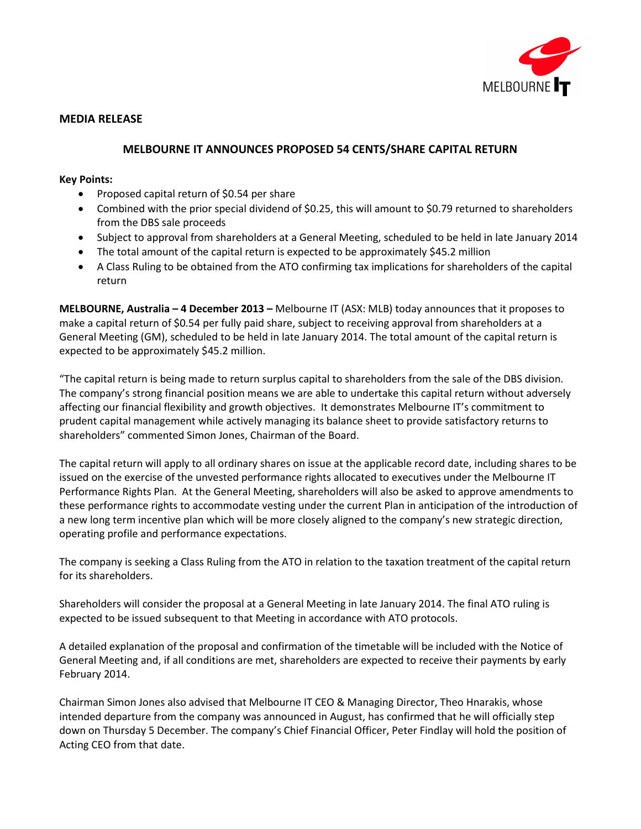

## **MEDIA RELEASE**

# **MELBOURNE IT ANNOUNCES PROPOSED 54 CENTS/SHARE CAPITAL RETURN**

## **Key Points:**

- Proposed capital return of \$0.54 per share
- Combined with the prior special dividend of \$0.25, this will amount to \$0.79 returned to shareholders from the DBS sale proceeds
- Subject to approval from shareholders at a General Meeting, scheduled to be held in late January 2014
- The total amount of the capital return is expected to be approximately \$45.2 million
- A Class Ruling to be obtained from the ATO confirming tax implications for shareholders of the capital return

**MELBOURNE, Australia – 4 December 2013 –** Melbourne IT (ASX: MLB) today announces that it proposes to make a capital return of \$0.54 per fully paid share, subject to receiving approval from shareholders at a General Meeting (GM), scheduled to be held in late January 2014. The total amount of the capital return is expected to be approximately \$45.2 million.

"The capital return is being made to return surplus capital to shareholders from the sale of the DBS division. The company's strong financial position means we are able to undertake this capital return without adversely affecting our financial flexibility and growth objectives. It demonstrates Melbourne IT's commitment to prudent capital management while actively managing its balance sheet to provide satisfactory returns to shareholders" commented Simon Jones, Chairman of the Board.

The capital return will apply to all ordinary shares on issue at the applicable record date, including shares to be issued on the exercise of the unvested performance rights allocated to executives under the Melbourne IT Performance Rights Plan. At the General Meeting, shareholders will also be asked to approve amendments to these performance rights to accommodate vesting under the current Plan in anticipation of the introduction of a new long term incentive plan which will be more closely aligned to the company's new strategic direction, operating profile and performance expectations.

The company is seeking a Class Ruling from the ATO in relation to the taxation treatment of the capital return for its shareholders.

Shareholders will consider the proposal at a General Meeting in late January 2014. The final ATO ruling is expected to be issued subsequent to that Meeting in accordance with ATO protocols.

A detailed explanation of the proposal and confirmation of the timetable will be included with the Notice of General Meeting and, if all conditions are met, shareholders are expected to receive their payments by early February 2014.

Chairman Simon Jones also advised that Melbourne IT CEO & Managing Director, Theo Hnarakis, whose intended departure from the company was announced in August, has confirmed that he will officially step down on Thursday 5 December. The company's Chief Financial Officer, Peter Findlay will hold the position of Acting CEO from that date.